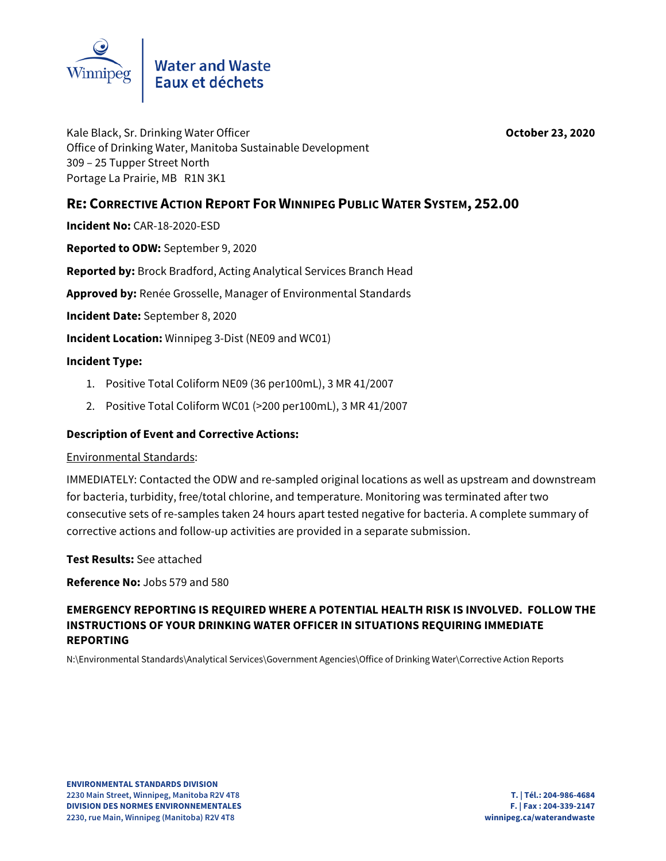

Kale Black, Sr. Drinking Water Officer **October 23, 2020** Office of Drinking Water, Manitoba Sustainable Development 309 – 25 Tupper Street North Portage La Prairie, MB R1N 3K1

# **RE: CORRECTIVE ACTION REPORT FOR WINNIPEG PUBLIC WATER SYSTEM, 252.00**

**Incident No:** CAR-18-2020-ESD

**Reported to ODW:** September 9, 2020

**Reported by:** Brock Bradford, Acting Analytical Services Branch Head

**Approved by:** Renée Grosselle, Manager of Environmental Standards

**Incident Date:** September 8, 2020

**Incident Location:** Winnipeg 3-Dist (NE09 and WC01)

#### **Incident Type:**

- 1. Positive Total Coliform NE09 (36 per100mL), 3 MR 41/2007
- 2. Positive Total Coliform WC01 (>200 per100mL), 3 MR 41/2007

### **Description of Event and Corrective Actions:**

#### Environmental Standards:

IMMEDIATELY: Contacted the ODW and re-sampled original locations as well as upstream and downstream for bacteria, turbidity, free/total chlorine, and temperature. Monitoring was terminated after two consecutive sets of re-samples taken 24 hours apart tested negative for bacteria. A complete summary of corrective actions and follow-up activities are provided in a separate submission.

**Test Results:** See attached

**Reference No:** Jobs 579 and 580

# **EMERGENCY REPORTING IS REQUIRED WHERE A POTENTIAL HEALTH RISK IS INVOLVED. FOLLOW THE INSTRUCTIONS OF YOUR DRINKING WATER OFFICER IN SITUATIONS REQUIRING IMMEDIATE REPORTING**

N:\Environmental Standards\Analytical Services\Government Agencies\Office of Drinking Water\Corrective Action Reports